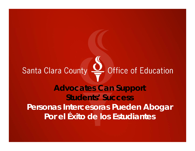# Santa Clara County  $Q$  Office of Education

**Advocates Can Support Students' SuccessPersonas Intercesoras Pueden Abogar Por el Éxito de los Estudiantes**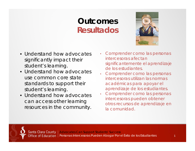### **OutcomesResultados**



- Understand how advocates significantly impact their student's learning.
- Understand how advocates use common core state standards to support their student's learning.
- Understand how advocates can access other learning resources in the community.
- • Comprender como las personas intercesoras afectan significantemente el aprendizaje de los estudiantes.
- Comprender como las personas intercesoras utilizan las normas académicas para apoyar el aprendizaje de los estudiantes.
- • Comprender como las personas intercesoras pueden obtener otros recursos de aprendizaje en la comunidad.

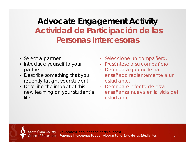# **Advocate Engagement Activity Actividad de Participación de las Personas Intercesoras**

- Select a partner
- Introduce yourself to your partner.
- Describe something that you recently taught your student.
- $\bullet$  Describe the impact of this new learning on your student's life.
- Seleccione un compañero.
- Preséntese a su compañero.
- • Describa algo que le ha enseñado recientemente a un estudiante.
- Describa el efecto de esta enseñanza nueva en la vida del estudiante.



Santa Clara County | Advocates Can Support Students' Success Office of Education | Personas Intercesoras Pueden Abogar Por el Éxito de los Estudiantes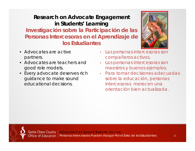### **Research on Advocate Engagement in Students' Learning Investigación sobre la Participación de las Personas Intercesoras en el Aprendizaje de los Estudiantes**



- Advocates are active partners.
- Advocates are teachers and good role models.
- Every advocate deserves rich guidance to make sound educational decisions.
- • Las personas intercesoras son compañeros activos.
- • Las personas intercesoras son maestros y buenos ejemplos.
- Para tomar decisiones adecuadas sobre la educación, personas intercesoras merecen una orientación bien actualizada.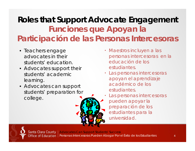# **Roles that Support Advocate Engagement Funciones que Apoyan la Participación de las Personas Intercesoras**

- Teachers engage advocates in their students' education.
- Advocates support their students' academic learning.
- Advocates can support students' preparation for college.
- Maestros incluyen a las personas intercesoras en la educación de los estudiantes.
- Las personas intercesoras apoyan el aprendizaje académico de los estudiantes.
- 0 Las personas intercesoras pueden apoyar la preparación de los estudiantes para la universidad.



Santa Clara County | Advocates Can Support Students' Success Office of Education | Personas Intercesoras Pueden Abogar Por el Éxito de los Estudiantes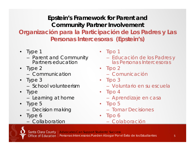**Epstein's Framework for Parent and Community Partner Involvement Organización para la Participación de Los Padres y Las Personas Intercesoras (Epstein's)**

- Type 1
	- –- Parent and Community Partners education
- Type 2
	- Communication
- Type 3
	- School volunteerism
- Type
	- – $-$  Learning at home
- Type 5 –Decision making
- Type 6
	- Collaboration
- $\bullet$  Tipo 1
	- Educación de los Padres y las Personas Intercesoras
- Tipo 2
	- Comunicación
- Tipo 3
	- Voluntario en su escuela
- Tipo 4
	- Aprendizaje en casa
- Tipo 5
	- Tomar Decisiones
- Tipo 6
	- Colaboración

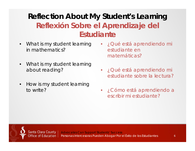### **Reflection About My Student's Learning Reflexión Sobre el Aprendizaje del Estudiante**

- • What is my student learning in mathematics?
- • What is my student learning about reading?
- $\bullet$  How is my student learning to write?
- ¿Qué está aprendiendo mi estudiante en matemáticas?
- ¿Qué está aprendiendo mi estudiante sobre la lectura?
- ¿Cómo está aprendiendo a escribir mi estudiante?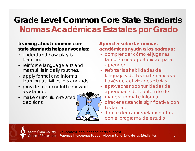# **Grade Level Common Core State StandardsNormas Académicas Estatales por Grado**

#### **Learning about common core state standards helps advocates:**

- understand how play is learning.
- reinforce language arts and math skills in daily routines.
- apply formal and informal learning activities to standards.
- provide meaningful homework assistance.
- make curriculum-related decisions.



#### **Aprender sobre las normas académicas ayuda a los padres a:**

- comprender cómo el jugar es también una oportunidad para aprender.
- reforzar las habilidades del lenguaje y de las matemáticas a través de actividades diarias.
- • aprovechar oportunidades de aprendizaje del contenido de manera formal e informal.• ofrecer asistencia significativa con las tareas.
	- tomar decisiones relacionadas con el programa de estudio.

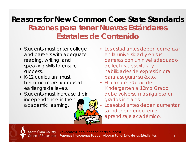### **Reasons for New Common Core State StandardsRazones para tener Nuevos Estándares Estatales de Contenido**

- Students must enter college and careers with adequate reading, writing, and speaking skills to ensure success.
- K-12 curriculum must become more rigorous at earlier grade levels.
- Students must increase their independence in their academic learning.



• El plan de estudio de Kindergarten a 12mo Grado debe volverse más riguroso en grados iniciales.



 Los estudiantes deben aumentar su independencia en el aprendizaje académico.

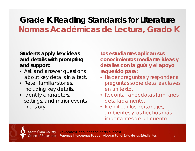### **Grade K Reading Standards for Literature Normas Académicas de Lectura, Grado K**

#### **Students apply key ideas and details with prompting and support:**

- Ask and answer questions about key details in a text.
- Retell familiar stories, including key details.
- Identify characters, settings, and major events in a story.

**Los estudiantes aplican sus conocimientos mediante ideas y detalles con la guía y el apoyo requerido para:**

- Hacer preguntas y responder a preguntas sobre detalles claves en un texto.
- Recontar anécdotas familiares detalladamente.
- Identificar los personajes, ambientes y los hechos más importantes de un cuento.

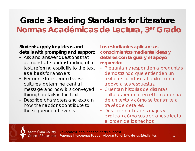### **Grade 3 Reading Standards for Literature Normas Académicas de Lectura, 3er Grado**

#### **Students apply key ideas and details with prompting and support:**

- Ask and answer questions that demonstrate understanding of a text, referring explicitly to the text as a basis for answers.
- Recount stories from diverse cultures; determine central message and how it is conveyed through details in the text.
- Describe characters and explain how their actions contribute to the sequence of events.

**Los estudiantes aplican sus conocimientos mediante ideas y detalles con la guía y el apoyo requerido:**

- Preguntan y responden a preguntas demostrando que entienden un texto, refiriéndose al texto como apoyo a sus respuestas.
- Cuentan historias de distintas culturas, reconocen el tema central de un texto y cómo se transmite a través de detalles.
- Describen a los personajes y explican cómo sus acciones afecta el orden de los hechos.

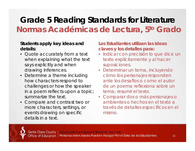# **Grade 5 Reading Standards for Literature Normas Académicas de Lectura, 5to Grado**

#### **Students apply key ideas and details:**

- Quote accurately from a text when explaining what the text says explicitly and when drawing inferences.
- Determine a theme including how characters respond to challenges or how the speaker in a poem reflects upon a topic; summarize the text.
- Compare and contrast two or more characters, settings, or events drawing on specific details in a text.

- Indicar con precisión lo que dice un texto explícitamente y al hacer suposiciones.
- Determinar un tema, incluyendo cómo los personajes responden ante los desafíos o como el autor de un poema reflexiona sobre un tema; resumir el texto.
- Comparar dos o más personajes o ambientes o hechos en el texto a través de detalles específicos en el mismo.

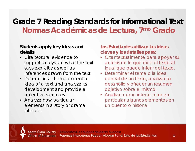### **Grade 7 Reading Standards for Informational Text Normas Académicas de Lectura, 7mo Grado**

#### **Students apply key ideas and details:**

- Cite textural evidence to support analysis of what the text says explicitly as well as inferences drawn from the text.
- Determine a theme or central idea of a text and analyze its development and provide a objective summary.
- Analyze how particular elements in a story or drama interact.

- Citar textualmente para apoyar su análisis de lo que dice el texto al igual que puede inferir del texto.
- Determinar el tema o la idea central de un texto, analizar su desarrollo y ofrecer un resumen objetivo sobre el mismo.
- Analizar cómo interactúan en particular algunos elementos en un cuento o historia.

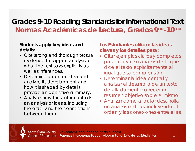### **Grades 9-10 Reading Standards for Informational Text Normas Académicas de Lectura, Grados 9no-10mo**

#### **Students apply key ideas and details:**

- Cite strong and thorough textual evidence to support analysis of what the text says explicitly as well as inferences.
- Determine a central idea and analyze its development and how it is shaped by details; provide an objective summary.
- Analyze how the author unfolds an analysis or ideas, including the order and the connections between them.

- Citar ejemplos claros y completos para apoyar su análisis de lo que dice el texto explícitamente al igual que su comprensión.
- Determinar la idea central y analizar el desarrollo de un texto detalladamente; ofrecer un resumen objetivo sobre el mismo.
- Analizar cómo al autor desarrolla un análisis o ideas, incluyendo el orden y las conexiones entre ellas.

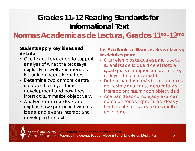### **Grades 11-12 Reading Standards for Informational Text**

**Normas Académicas de Lectura, Grados 11no-12mo**

#### **Students apply key ideas and details:**

- Cite textual evidence to support analysis of what the text says explicitly as well as inferences including uncertain matters.
- Determine two or more central ideas and analyze their development and how they interact; summarize objectively.
- Analyze complex ideas and explain how specific individuals, ideas, and events interact and develop in the text.

- Citar ejemplos textuales para apoyar su análisis de lo que dice el texto al igual que su comprensión del mismo, incluyendo temas variables.
- Determinar dos o más ideas centrales del texto y analizar su desarrollo y su interacción; resumir con objetividad.
- Analizar ideas complejas y explicar cómo personas específicas, ideas y hechos interactúan y se desarrollan en el texto.

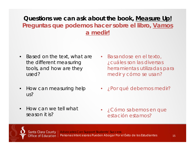### **Questions we can ask about the book, Measure Up! Preguntas que podemos hacer sobre el libro, Vamos a medir!**

- • Based on the text, what are the different measuring tools, and how are they used?
- • How can measuring help us?
- • How can we tell what season it is?
- Basandose en el texto, ¿cuáles son las diversas herramientas utilizadas para medir y cómo se usan?
- ¿Por qué debemos medir?

• ¿Cómo sabemos en que estación estamos?

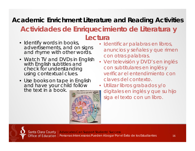### **Academic Enrichment Literature and Reading Activities Actividades de Enriquecimiento de Literatura y**

### **Lectura**

- Identify words in books, advertisements, and on signs and rhyme with other words.
- Watch TV and DVDs in English with English subtitles and check for understanding using contextual clues.
- Use books on tape in English and have your child follow the text in a book.



- Identificar palabras en libros, anuncios y señales y que rimen con otras palabras.
- Ver televisión y DVD's en inglés con subtitulares en inglés y verificar el entendimiento con claves del contexto.
- Utilizar libros grabados y/o digitales en inglés y que su hijo siga el texto con un libro.

Santa Clara County | Advocates Can Support Students' Success Office of Education | Personas Intercesoras Pueden Abogar Por el Éxito de los Estudiantes 16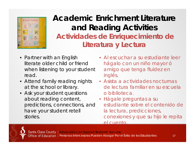

### **Academic Enrichment Literatureand Reading Activities Actividades de Enriquecimiento de Literatura y Lectura**

- Partner with an English literate older child or friend when listening to your student read.
- Attend family reading nights at the school or library.
- Ask your student questions about reading content, predictions, connections, and have your student retell stories.
- Al escuchar a su estudiante leer hágalo con un niño mayor ó amigo que tenga fluidez en inglés.
- Asista a actividades nocturnas de lectura familiar en su escuela o biblioteca.
- Hágale preguntas a su estudiante sobre el contenido de la lectura, predicciones, conexiones y que su hijo le repita el cuento.

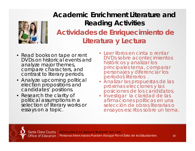

### **Academic Enrichment Literature and Reading Activities Actividades de Enriquecimiento de Literatura y Lectura**

- Read books on tape or rent DVDs on historical events and analyze major themes, compare characters, and contrast to literary periods.
- Analyze upcoming political election propositions and candidates' positions.
- Research the clarity of political assumptions in a selection of literary works or<br>essays on a topic.
- Leer libros en cinta o rentar DVDs sobre acontecimientos históricos y analizar los principales tema, comparar personajes y diferenciar los períodos literarios .
- Analizar las propuestas de las próximas elecciones y las posiciones de los candidatos.
- Investigar la claridad de las afirmaciones políticas en una selección de obras literarias o ensayos escritos sobre un tema.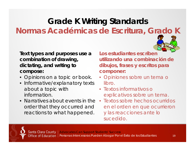# **Grade K Writing Standards Normas Académicas de Escritura, Grado K**

**Text types and purposes use a combination of drawing, dictating, and writing to compose:** 

- Opinions on a topic or book.
- Informative/explanatory texts about a topic with information.
- order that they occurred and reactions to what happened.

**Los estudiantes escriben utilizando una combinación de dibujos, frases y escritos para componer:**

- Opiniones sobre un tema o libro.
- Textos informativos o explicativos sobre un tema.
- Narratives about events in the Textos sobre hechos ocurridos en el orden en que ocurrieron y las reacciones ante lo sucedido.

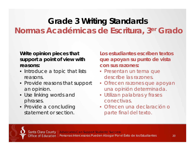# **Grade 3 Writing Standards Normas Académicas de Escritura, 3er Grado**

#### **Write opinion pieces that support a point of view with reasons:**

- Introduce a topic that lists reasons.
- Provide reasons that support an opinion.
- Use linking words and phrases.
- Provide a concluding statement or section.

**Los estudiantes escriben textos que apoyan su punto de vista con sus razones:**

- Presentan un tema que describe las razones.
- Ofrecen razones que apoyan una opinión determinada.
- Utilizan palabras y frases conectivas.
- Ofrecen una declaración o parte final del texto.

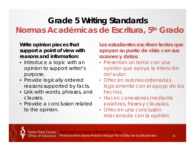# **Grade 5 Writing Standards Normas Académicas de Escritura, 5to Grado**

**Write opinion pieces that support a point of view with reasons and information:**

- Introduce a topic with an opinion to support writer's purpose.
- Provide logically ordered reasons supported by facts.
- Link with words, phrases, and clauses.
- Provide a conclusion related to the opinion.

**Los estudiantes escriben textos que apoyan su punto de vista con sus razones y datos:**

- Presentan un tema con una opinión que apoya la intención del autor.
- Ofrecen razones ordenadas lógicamente con el apoyo de los hechos.
- Hacen conexiones mediante palabras, frases y cláusulas.
- Ofrecen una conclusión relacionada con la opinión.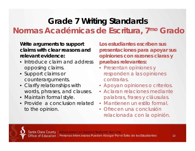# **Grade 7 Writing Standards Normas Académicas de Escritura, 7mo Grado**

**Write arguments to support claims with clear reasons and relevant evidence:**

- Introduce claim and address opposing claims.
- Support claims or counterarguments.
- Clarify relationships with words, phrases, and clauses.
- Maintain formal style.
- Provide a conclusion related to the opinion.

**Los estudiantes escriben sus presentaciones para apoyar sus opiniones con razones claras y pruebas relevantes:**

- Presentan opiniones y responden a las opiniones contrarias.
- Apoyan opiniones o criterios.
- Aclaran relaciones mediante palabras, frases y cláusulas.
- Mantienen un estilo formal.
- Ofrecen una conclusión relacionada con la opinión.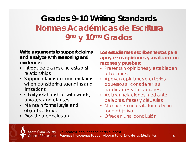# **Grades 9-10 Writing Standards Normas Académicas de Escritura9no y 10mo Grados**

#### **Write arguments to support claims and analyze with reasoning and evidence:**

- Introduce claims and establish relationships.
- Support claims or counterclaims when considering strengths and limitations.
- Clarify relationships with words, phrases, and clauses.
- Maintain formal style and objective tone.
- Provide a conclusion.

**Los estudiantes escriben textos para apoyar sus opiniones y analizan con razones y pruebas:**

- Presentan opiniones y establecen relaciones.
- Apoyan opiniones o criterios opuestos al considerar las habilidades y limitaciones.
- Aclaran relaciones mediante palabras, frases y cláusulas.
- Mantienen un estilo formal y un tono objetivo.
- Ofrecen una conclusión.

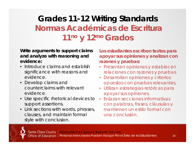# **Grades 11-12 Writing Standards Normas Académicas de Escritura11no y 12mo Grados**

#### **Write arguments to support claims and analyze with reasoning and evidence:**

- Introduce claims and establish significance with reasons and evidence.
- Develop claims and counterclaims with relevant evidence.
- Use specific rhetorical devices to support assertions.
- Link sections with words, phrases, clauses, and maintain formal style with conclusion.

**Los estudiantes escriben textos para apoyar sus opiniones y analizan con razones y pruebas:**

- Presentan opiniones y establecen relaciones con razones y pruebas.
- Desarrollan opiniones y criterios opuestos con pruebas relevantes.
- Utilizan estrategias retóricas para apoyar sus opiniones.
- Enlazan secciones informativas con palabras, frases, cláusulas y mantienen un estilo formal con una conclusión.

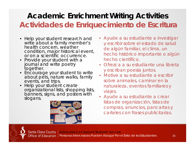### **Academic Enrichment Writing Activities Actividades de Enriquecimiento de Escritura**

- Help your student research and write about a family member's health concern, weather condition, major historical event, or on a scientific occurrence.
- Provide your student with a journal and write poetry together.
- • Encourage your student to write about pets, nature walks, family events, and trips.
- • Help your student create organizational lists, shopping lists, banners, signs, and posters with slogans.



- Ayude a su estudiante a investigar y escribir sobre el estado de salud de algún familiar, el clima, un hecho histórico importante o algún hecho científico.
- Ofrezca a su estudiante una libreta y escriban poesía juntos.
- Motive a su estudiante a escribir sobre animales, caminar en la naturaleza, eventos familiares y viajes.
- Ayude a su estudiante a crear listas de organización, listas de compras, anuncios, pancartas y carteles con frases publicitarias.



Santa Clara County | Advocates Can Support Students' Success Office of Education | Personas Intercesoras Pueden Abogar Por el Éxito de los Estudiantes 25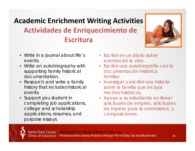# **Academic Enrichment Writing Activities Actividades de Enriquecimiento de Escritura**



- Write in a journal about life's events.
- Write an autobiography with supporting family historical documentation.
- Research and write a family history that includes historical events.
- Support you student in completing job applications, college and scholarship applications, resumes, and purpose essays.
- Escribir en un diario sobre eventos de la vida.
- Escribir una autobiografía con la documentación histórica familiar.
- Investigar y escribir una historia sobre la familia que incluya hechos históricos.
- Apoye a su estudiante en llenar solicitudes de empleo, solicitudes de ingreso para la universidad, y composiciones.

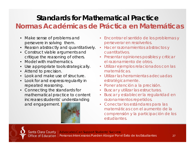### **Standards for Mathematical Practice**

### **Normas Académicas de Práctica en Matemáticas**

- Make sense of problems and persevere in solving them.
- Reason abstractly and quantitatively.
- Construct viable arguments and critique the reasoning of others.
- Model with mathematics.
- Use appropriate tools strategically.
- Attend to precision.
- Look and make use of structure.
- Look for and express regularity in repeated reasoning.
- Connecting the standards for mathematical practice to content increases students' understanding and engagement.



- Encontrar el sentido de los problemas y perseverar en resolverlos.
- Hacer razonamientos abstractos y cuantitativos.
- Presentar opiniones posibles y criticar el razonamiento de otros.
- Utilizar ejemplos relacionados con las matemáticas.
- Utilizar las herramientas adecuadas estratégicamente.
- Poner atención a la precisión.
- $\bullet$ Buscar y utilizar las estructuras.
- Buscar y establecer la regularidad en razonamientos repetidos.
- Conectar los estándares para las matemáticas con el aumento de la comprensión y la participación de los estudiantes.

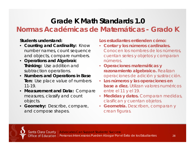### **Grade K Math Standards 1.0Normas Académicas de Matemáticas - Grado K**

#### **Students understand:**

- **Counting and Cardinality:** Know number names, count sequence and objects, compare numbers.
- **Operations and Algebraic Thinking:** Use addition and subtraction operations.
- **Numbers and Operations in Base Ten:** Use place value of numbers 11-19.
- • **Measurement and Data:** Compare measures, classify and count objects.
- **Geometry:** Describe, compare, and compose shapes.

#### **Los estudiantes entienden cómo:**

- **Contar y los números cardinales.**  Conocen los nombres de los números, cuentan series y objetos y comparan números.
- **Operaciones matemáticas y razonamiento algebraico.** Realizan operaciones de adición y sustracción.
- **Los números y las operaciones en base a diez.** Utilizan valores numéricos entre el 11 y el 19.
- **Medidas y datos.** Comparan medidas, clasifican y cuentan objetos.
- **Geometría.** Describen, comparan y crean figuras.

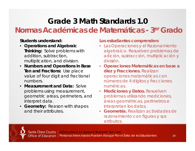### **Grade 3 Math Standards 1.0Normas Académicas de Matemáticas - 3er Grado**

#### **Students understand:**

- **Operations and Algebraic Thinking:** Solve problems with addition, subtraction, multiplication, and division.
- **Numbers and Operations in Base Ten and Fractions:** Use place value of four digit and fractional numbers.
- **Measurement and Data:** Solve problems using measurement, geometric areas, perimeters, and interpret data.
- **Geometry:** Reason with shapes and their attributes.

#### **Los estudiantes comprenden:**

- Las Operaciones y el Razonamiento algebraico. Resuelven problemas de adición, sustracción, multiplicación y división.
- **Operaciones Matemáticas en base a diez y Fracciones.** Realizan operaciones matemáticas con números de 4 dígitos y fracciones numéricas.
- **Mediciones y Datos.** Resuelven problemas utilizando mediciones, áreas geométricas, perímetros e interpretan los datos.
- **Geometría.** Realizan actividades de razonamiento con figuras y sus atributos.

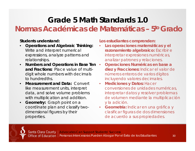### **Grade 5 Math Standards 1.0Normas Académicas de Matemáticas – 5to Grado**

#### **Students understand:**

- • **Operations and Algebraic Thinking:**  Write and interpret numerical expressions, analyze patterns and relationships.
- $\bullet$  **Numbers and Operations in Base Ten and Fractions:** Place value of multidigit whole numbers with decimals to hundredths.
- $\bullet$ **Measurement and Data: Convert** like measurement units, interpret data, and solve volume problems with multiplication and addition.
- $\bullet$  **Geometry:** Graph point on a coordinate plan and classify twodimensional figures by their properties.

**Los estudiantes comprenden:**

- • **Las operaciones matemáticas y el razonamiento algebraico:** Escribir e interpretar expresiones numéricas, analizar patrones y relaciones.
- $\bullet$  **Operaciones Numéricas en base a diez y Fracciones:** Indicar el valor de números enteros de varios dígitos incluyendo valores decimales.
- $\bullet$  **Mediciones y Datos:** Hacer conversiones de unidades numéricas, interpretar datos y resolver problemas de volumen mediante la multiplicación y la adición.
- **Geometría:** Indicar en una gráfica y clasificar figuras de dos dimensiones de acuerdo a sus propiedades.

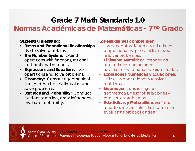### **Grade 7 Math Standards 1.0**

**Normas Académicas de Matemáticas - 7mo Grado**

#### **Students understand:**

- **Ratios and Proportional Relationships:** Use to solve problems.
- **The Number System:** Extend operations with fractions, rational and irrational numbers.
- **Expressions and Equations:** Use operations and solve problems.
- •**Geometry: Construct geometrical** figures, describe relationships, and solve problems.
- $\bullet$ **Statistics and Probability: Conduct** random sampling, draw inferences, evaluate probability.

#### **Los estudiantes comprenden:**

- Los conceptos de radio y relaciones proporcionales que se utilizan para resolver problemas.
- **El Sistema Numérico:** Extender las operaciones con números fraccionarios, racionales e irracionales.
- **Expresiones Numéricas y Ecuaciones.**  Utilizar las operaciones y resolver problemas.
- **Geometría:** construir figuras geométricas, describir relaciones y resolver los problemas.
- **Estadísticas y Probabilidades:** Tomar muestras al azar, inferir la información, evaluar las probabilidades.

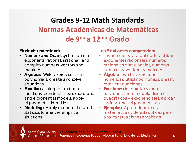### **Grades 9‐12 Math Standards Normas Académicas de Matemáticas de 9no a 12mo Grado**

#### **Students understand:**

- •**Number and Quantity: Use rational** exponents, rational, irrational, and complex numbers, vectors and matrices.
- **Algebra:** Write expressions, use polynomials, create and solve equations.
- **Functions:** Interpret and build functions, construct linear, quadratic, and exponential models, apply trigonometric identities.
- • **Modeling:** Apply mathematics and statistics to analyze empirical situations.

#### **Los Estudiantes comprenden:**

- Los números y las cantidades. Utilizan exponentes racionales, números racionales e irracionales, números complejos, vectores y matrices.
- **Álgebra:** escribir expresiones numéricas, utilizar polinomios, crear y resolver ecuaciones.
- **Funciones:** interpretar y crear funciones, crear modelos lineales, cuadráticos y exponenciales, aplicar las funciones trigonométricas.
- $\bullet$  **Ejemplos:** Aplicar funciones matemáticas y de estadísticas para analizar situaciones empíricas.

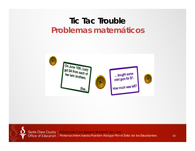### **Tic Tac TroubleProblemas matemáticos**



Santa Clara County | Advocates Can Support Students' Success Office of Education | Personas Intercesoras Pueden Abogar Por el Éxito de los Estudiantes 33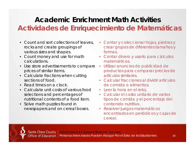### **Academic Enrichment Math ActivitiesActividades de Enriquecimiento de Matemáticas**

- Count and sort collections of leaves, rocks and create groupings of various sizes and shapes.
- Count money and use for math calculations.
- Use store advertisements to compare prices of similar items.
- Calculate fractions when cutting sections of food.
- Read times on a clock.
- Calculate unit costs of various food selections and percentages of nutritional contents of a food item.
- Solve math puzzles found in newspapers and on cereal boxes.
- • Contar y coleccionar hojas, piedras y crear grupos de diferentes tamaños y formas.
- Contar dinero y usarlo para cálculos matemáticos.
- $\bullet$  Utilizar anuncios de publicidad de productos para comparar precios de artículos similares.
- Calcular fracciones al dividir artículos de comida o alimentos.
- Leer la hora en el reloj.
- Calcular el costo unitario de varios tipos de comida y el porcentaje del contenido nutritivo.
- Resolver juegos matemáticos encontrados en periódicos y cajas de cereal.

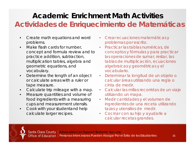### **Academic Enrichment Math ActivitiesActividades de Enriquecimiento de Matemáticas**

- $\bullet$  Create math equations and word problems.
- $\bullet$  Make flash cards for number, concept and formula review and to practice addition, subtraction, multiplication tables, algebra and geometric equations, and vocabulary.
- $\bullet$  Determine the length of an object or calculate areas with a ruler or tape measure.
- $\bullet$ Calculate trip mileage with a map.
- $\bullet$  Measure quantities and volume of food ingredients with a measuring cups and measurement utensils.
- $\bullet$  Cook with your studentand help calculate larger recipes.
- • Crear ecuaciones matemáticas y problemas por escrito.
- Practicar las tablas numéricas, de conceptos y fórmulas y para practicar las operaciones de sumar, restar, las tablas de multiplicación, ecuaciones algebraicas y geométricas y el vocabulario.
- $\bullet$  Determinar la longitud de un objeto o calcular áreas utilizando una regla o cinta de medir.
- Calcular las millas recorridas de un viaje utilizando un mapa.
- $\bullet$  Medir cantidades y el volumen de ingredientes de una receta utilizando tazas y utensilios de medir.
- Cocinar con su hijo y ayudarle a calcular recetas grandes.

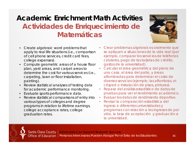### **Academic Enrichment Math ActivitiesActividades de Enriquecimiento de Matemáticas**



- Create algebraic word problems that apply to real life situations (i.e., comparison of cell phone services, credit card fees, college expenses).
- Compute geometric areas of a house floor plan, yard areas, and carpet areas to determine the cost for various services (i.e., carpeting, lawn or floor installation, painting).
- Review statistical analyses of testing data for academic performance monitoring.
- Evaluate sports performance data.
- Review statistical comparisons of entry into various types of colleges and degree programs in relation to lifetime earnings, college acceptance rates, college graduation rates.
- • Crear problemas algebraicos oralmente que se apliquen a situaciones de la vida real (por ejemplo, comparar los servicios de teléfonos celulares, pago de las tarjetas de crédito, gastos de la universidad).
- $\bullet$  Calcular el área geométrica del plano de una casa, el área del patio, y áreas alfombradas para determinar el costo de diversos servicios (ejemplo: las alfombras, el césped o instalación de pisos, pinturas).
- • Repaso del análisis estadístico de datos de pruebas para ver el rendimiento académico.
- •Evaluar los datos de rendimiento deportivo.
- • Revisar la comparación estadística del ingreso a diferentes universidades y programas con relación a los ingresos de por vida, la tasa de aceptación y graduación a la universidad.

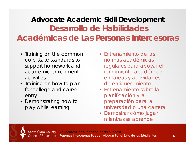### **Advocate Academic Skill Development Desarrollo de HabilidadesAcadémicas de Las Personas Intercesoras**

- Training on the common core state standards to support homework and academic enrichment activities
- Training on how to plan for college and career entry
- Demonstrating how to play while learning
- Entrenamiento de las normas académicas regulares para apoyar el rendimiento académico en tareas y actividades de enriquecimiento
- Entrenamiento sobre la planificación y la preparación para la universidad o una carrera
- Demostrar cómo jugar mientras se aprende

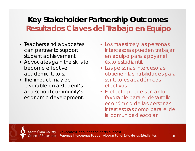### **Key Stakeholder Partnership Outcomes Resultados Claves del Trabajo en Equipo**

- Teachers and advocates can partner to support student achievement.
- Advocates gain the skills to become effective academic tutors.
- The impact may be favorable on a student's and school community's economic development.
- Los maestros y las personas intercesoras pueden trabajar en equipo para apoyar el éxito estudiantil.
- Las personas intercesoras obtienen las habilidades para ser tutores académicos efectivos.
- El efecto puede ser tanto favorable para el desarrollo económico de las personas intercesoras como para el de la comunidad escolar.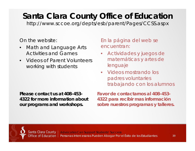# **Santa Clara County Office of Education**

http://www.sccoe.org/depts/esb/parent/Pages/CCSS.aspx

On the website:

- • Math and Language Arts Activities and Games
- $\bullet$  Videos of Parent Volunteers working with students

En la página del web se encuentran:

- Actividades y juegos de matemáticas y artes de lenguaje
- Videos mostrando los padres voluntaries trabajando con los alumnos

**Please contact us at 408-453-4322 for more information about our programs and workshops.**

**Favor de contactarnos al 408-453-4322 para recibir mas información sobre nuestros programas y talleres.**

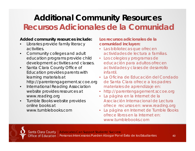# **Additional Community Resources Recursos Adicionales de la Comunidad**

#### **Added community resources include:**

- • Libraries provide family literacy activities.
- • Community colleges and adult education programs provide child development activities and classes.
- $\bullet$  Santa Clara County Office of Education provides parents with learning materials at http://parentengagement.sccoe.org
- • International Reading Association website provides resources at www.reading.org
- $\bullet$  Tumble Books website provides online books at www.tumblebooks.com

#### **Los recursos adicionales de lacomunidad incluyen:**

- Las bibliotecas que ofrecen actividades de lectura a familias.
- Los colegios y programas de educación para adultos ofrecen actividades y clases de desarrollo infantil.
- La Oficina de Educación del Condado de Santa Clara ofrece a los padres materiales de aprendizaje en:
- •http://parentengagement.sccoe.org
- • La página en la Internet de la Asociación Internacional de Lectura ofrece recursos en: www.reading.org
- $\bullet$  La página en Internet de *Tumble Books* ofrece libros en la Internet en: www.tumblebooks.com